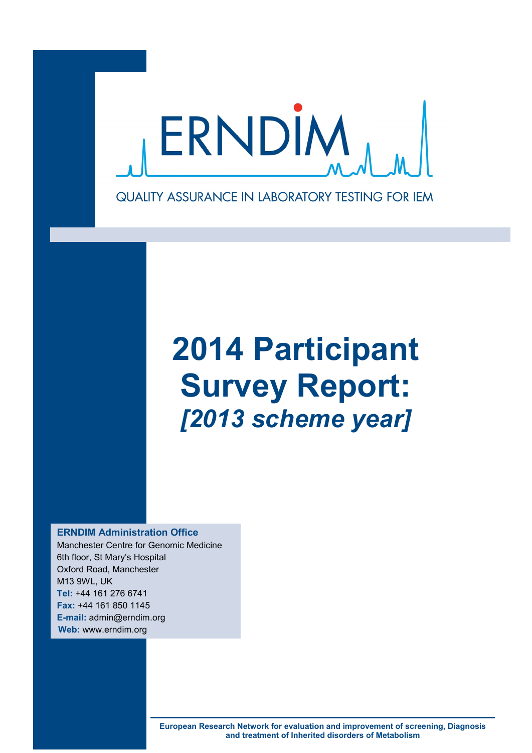

# **2014 Participant Survey Report:** *[2013 scheme year]*

**ERNDIM Administration Office**

Manchester Centre for Genomic Medicine 6th floor, St Mary's Hospital Oxford Road, Manchester M13 9WL, UK **Tel:** +44 161 276 6741 **Fax:** +44 161 850 1145 **E-mail:** admin@erndim.org **Web:** www.erndim.org

> **European Research Network for evaluation and improvement of screening, Diagnosis and treatment of Inherited disorders of Metabolism**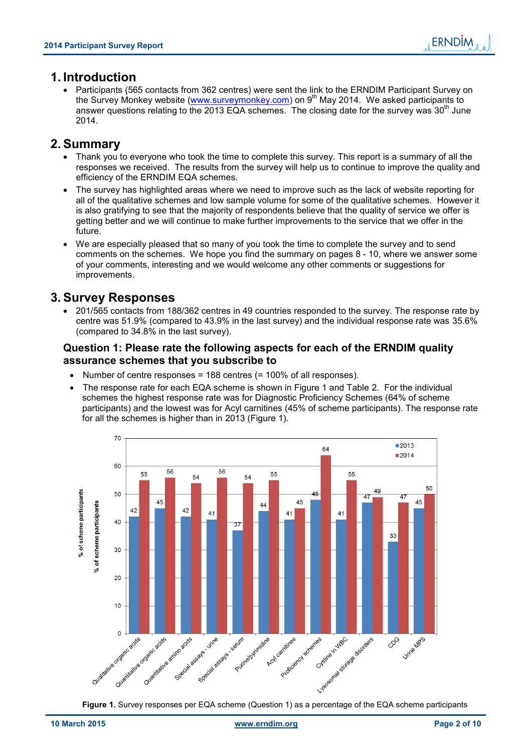# **1. Introduction**

 Participants (565 contacts from 362 centres) were sent the link to the ERNDIM Participant Survey on the Survey Monkey website [\(www.surveymonkey.com\)](http://www.surveymonkey.com/) on 9<sup>th</sup> May 2014. We asked participants to answer questions relating to the 2013 EQA schemes. The closing date for the survey was  $30<sup>th</sup>$  June 2014.

# **2. Summary**

- Thank you to everyone who took the time to complete this survey. This report is a summary of all the responses we received. The results from the survey will help us to continue to improve the quality and efficiency of the ERNDIM EQA schemes.
- The survey has highlighted areas where we need to improve such as the lack of website reporting for all of the qualitative schemes and low sample volume for some of the qualitative schemes. However it is also gratifying to see that the majority of respondents believe that the quality of service we offer is getting better and we will continue to make further improvements to the service that we offer in the future.
- We are especially pleased that so many of you took the time to complete the survey and to send comments on the schemes. We hope you find the summary on pages 8 - 10, where we answer some of your comments, interesting and we would welcome any other comments or suggestions for improvements.

# **3. Survey Responses**

 201/565 contacts from 188/362 centres in 49 countries responded to the survey. The response rate by centre was 51.9% (compared to 43.9% in the last survey) and the individual response rate was 35.6% (compared to 34.8% in the last survey).

# **Question 1: Please rate the following aspects for each of the ERNDIM quality assurance schemes that you subscribe to**

- Number of centre responses = 188 centres (= 100% of all responses).
- The response rate for each EQA scheme is shown in Figure 1 and Table 2. For the individual schemes the highest response rate was for Diagnostic Proficiency Schemes (64% of scheme participants) and the lowest was for Acyl carnitines (45% of scheme participants). The response rate for all the schemes is higher than in 2013 (Figure 1).

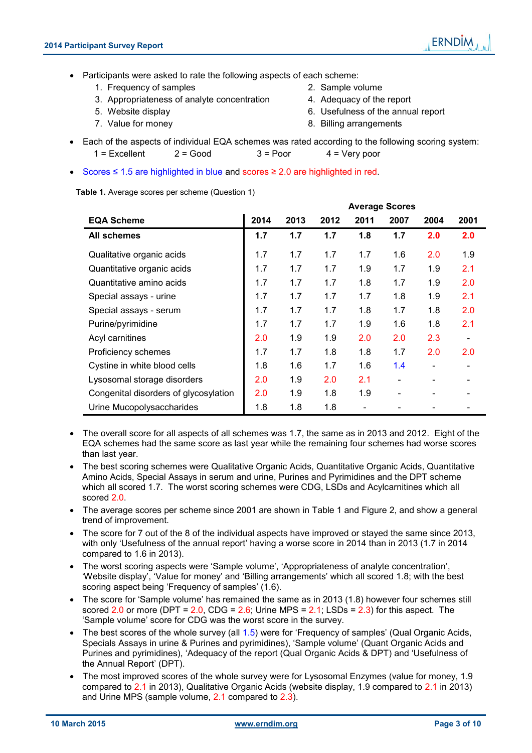- Participants were asked to rate the following aspects of each scheme:
	- 1. Frequency of samples 2. Sample volume
	- 3. Appropriateness of analyte concentration 4. Adequacy of the report
	-
	-
- 
- 
- 5. Website display 6. Usefulness of the annual report
- 7. Value for money and the same section of the South B. Billing arrangements
- Each of the aspects of individual EQA schemes was rated according to the following scoring system:  $1 =$  Excellent  $2 =$  Good  $3 =$  Poor  $4 =$  Very poor
- Scores ≤ 1.5 are highlighted in blue and scores ≥ 2.0 are highlighted in red.

**Average Scores EQA Scheme 2014 2013 2012 2011 2007 2004 2001 All schemes 1.7 1.7 1.7 1.8 1.7 2.0 2.0** Qualitative organic acids 1.7 1.7 1.7 1.7 1.6 2.0 1.9 Quantitative organic acids 1.7 1.7 1.7 1.9 1.7 1.9 2.1 Quantitative amino acids 1.7 1.7 1.7 1.8 1.7 1.9 2.0 Special assays - urine 1.7 1.7 1.7 1.7 1.8 1.9 2.1 Special assays - serum 1.7 1.7 1.7 1.8 1.7 1.8 2.0 Purine/pyrimidine 1.7 1.7 1.7 1.9 1.6 1.8 2.1 Acyl carnitines 2.0 1.9 1.9 2.0 2.0 2.3 - Proficiency schemes 1.7 1.7 1.7 1.8 1.8 1.7 2.0 2.0 Cystine in white blood cells **1.8** 1.6 1.7 1.6 1.4 -Lysosomal storage disorders  $\begin{array}{|c|c|c|c|c|c|c|c|} \hline \end{array}$  2.0 2.1 Congenital disorders of glycosylation 2.0 1.9 1.8 1.9 Urine Mucopolysaccharides 1.8 1.8 1.8 - - - - - -

**Table 1.** Average scores per scheme (Question 1)

- The overall score for all aspects of all schemes was 1.7, the same as in 2013 and 2012. Eight of the EQA schemes had the same score as last year while the remaining four schemes had worse scores than last year.
- The best scoring schemes were Qualitative Organic Acids, Quantitative Organic Acids, Quantitative Amino Acids, Special Assays in serum and urine, Purines and Pyrimidines and the DPT scheme which all scored 1.7. The worst scoring schemes were CDG, LSDs and Acylcarnitines which all scored 2.0.
- The average scores per scheme since 2001 are shown in Table 1 and Figure 2, and show a general trend of improvement.
- The score for 7 out of the 8 of the individual aspects have improved or stayed the same since 2013, with only 'Usefulness of the annual report' having a worse score in 2014 than in 2013 (1.7 in 2014 compared to 1.6 in 2013).
- The worst scoring aspects were 'Sample volume', 'Appropriateness of analyte concentration', 'Website display', 'Value for money' and 'Billing arrangements' which all scored 1.8; with the best scoring aspect being 'Frequency of samples' (1.6).
- The score for 'Sample volume' has remained the same as in 2013 (1.8) however four schemes still scored 2.0 or more (DPT =  $2.0$ , CDG =  $2.6$ ; Urine MPS =  $2.1$ ; LSDs =  $2.3$ ) for this aspect. The 'Sample volume' score for CDG was the worst score in the survey.
- The best scores of the whole survey (all 1.5) were for 'Frequency of samples' (Qual Organic Acids, Specials Assays in urine & Purines and pyrimidines), 'Sample volume' (Quant Organic Acids and Purines and pyrimidines), 'Adequacy of the report (Qual Organic Acids & DPT) and 'Usefulness of the Annual Report' (DPT).
- The most improved scores of the whole survey were for Lysosomal Enzymes (value for money, 1.9 compared to 2.1 in 2013), Qualitative Organic Acids (website display, 1.9 compared to 2.1 in 2013) and Urine MPS (sample volume, 2.1 compared to 2.3).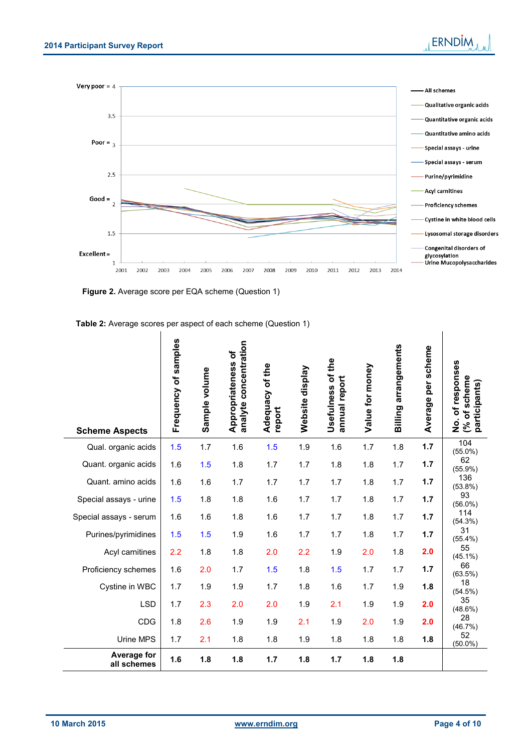

**Figure 2.** Average score per EQA scheme (Question 1)

 $\overline{\phantom{a}}$ 

| <b>Scheme Aspects</b>      | Frequency of samples | Sample volume | analyte concentration<br>Appropriateness of | Adequacy of the<br>report | Website display | Usefulness of the<br>annual report | Value for money | <b>Billing arrangements</b> | Average per scheme | No. of responses<br>(% of scheme<br>participants) |
|----------------------------|----------------------|---------------|---------------------------------------------|---------------------------|-----------------|------------------------------------|-----------------|-----------------------------|--------------------|---------------------------------------------------|
| Qual. organic acids        | 1.5                  | 1.7           | 1.6                                         | 1.5                       | 1.9             | 1.6                                | 1.7             | 1.8                         | 1.7                | 104<br>$(55.0\%)$                                 |
| Quant. organic acids       | 1.6                  | 1.5           | 1.8                                         | 1.7                       | 1.7             | 1.8                                | 1.8             | 1.7                         | 1.7                | 62<br>$(55.9\%)$                                  |
| Quant. amino acids         | 1.6                  | 1.6           | 1.7                                         | 1.7                       | 1.7             | 1.7                                | 1.8             | 1.7                         | 1.7                | 136<br>$(53.8\%)$                                 |
| Special assays - urine     | 1.5                  | 1.8           | 1.8                                         | 1.6                       | 1.7             | 1.7                                | 1.8             | 1.7                         | 1.7                | 93<br>$(56.0\%)$                                  |
| Special assays - serum     | 1.6                  | 1.6           | 1.8                                         | 1.6                       | 1.7             | 1.7                                | 1.8             | 1.7                         | 1.7                | 114<br>(54.3%)                                    |
| Purines/pyrimidines        | 1.5                  | 1.5           | 1.9                                         | 1.6                       | 1.7             | 1.7                                | 1.8             | 1.7                         | 1.7                | 31<br>$(55.4\%)$                                  |
| Acyl carnitines            | 2.2                  | 1.8           | 1.8                                         | 2.0                       | 2.2             | 1.9                                | 2.0             | 1.8                         | 2.0                | 55<br>$(45.1\%)$                                  |
| Proficiency schemes        | 1.6                  | 2.0           | 1.7                                         | 1.5                       | 1.8             | 1.5                                | 1.7             | 1.7                         | 1.7                | 66<br>$(63.5\%)$                                  |
| Cystine in WBC             | 1.7                  | 1.9           | 1.9                                         | 1.7                       | 1.8             | 1.6                                | 1.7             | 1.9                         | 1.8                | 18<br>$(54.5\%)$                                  |
| <b>LSD</b>                 | 1.7                  | 2.3           | 2.0                                         | 2.0                       | 1.9             | 2.1                                | 1.9             | 1.9                         | 2.0                | 35<br>(48.6%)                                     |
| CDG                        | 1.8                  | 2.6           | 1.9                                         | 1.9                       | 2.1             | 1.9                                | 2.0             | 1.9                         | 2.0                | 28<br>(46.7%)                                     |
| Urine MPS                  | 1.7                  | 2.1           | 1.8                                         | 1.8                       | 1.9             | 1.8                                | 1.8             | 1.8                         | 1.8                | 52<br>$(50.0\%)$                                  |
| Average for<br>all schemes | 1.6                  | 1.8           | 1.8                                         | 1.7                       | 1.8             | 1.7                                | 1.8             | 1.8                         |                    |                                                   |

**Table 2:** Average scores per aspect of each scheme (Question 1)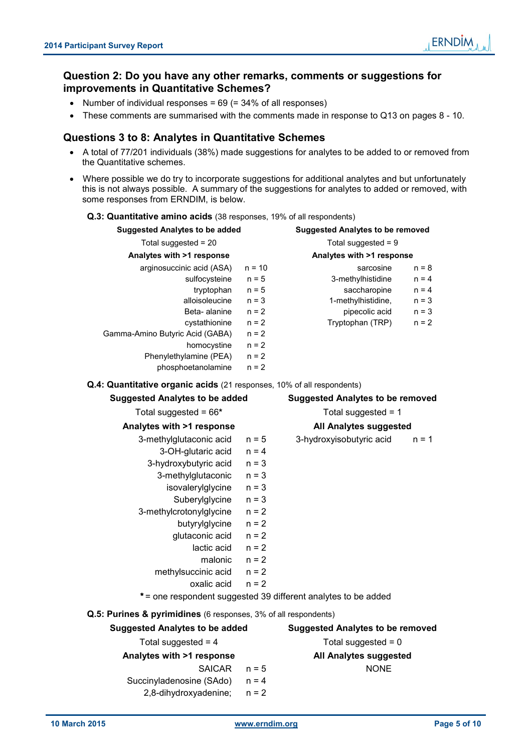# **Question 2: Do you have any other remarks, comments or suggestions for improvements in Quantitative Schemes?**

- Number of individual responses =  $69$  (=  $34\%$  of all responses)
- These comments are summarised with the comments made in response to Q13 on pages 8 10.

# **Questions 3 to 8: Analytes in Quantitative Schemes**

- A total of 77/201 individuals (38%) made suggestions for analytes to be added to or removed from the Quantitative schemes.
- Where possible we do try to incorporate suggestions for additional analytes and but unfortunately this is not always possible. A summary of the suggestions for analytes to added or removed, with some responses from ERNDIM, is below.

|  | Q.3: Quantitative amino acids (38 responses, 19% of all respondents) |  |  |  |  |  |  |  |  |
|--|----------------------------------------------------------------------|--|--|--|--|--|--|--|--|
|--|----------------------------------------------------------------------|--|--|--|--|--|--|--|--|

| <b>Suggested Analytes to be added</b> |                       | <b>Suggested Analytes to be removed</b> |  |
|---------------------------------------|-----------------------|-----------------------------------------|--|
| Total suggested = $20$                | Total suggested = $9$ |                                         |  |
| Analytes with >1 response             |                       | Analytes with >1 response               |  |
| arginosuccinic acid (ASA)             | $n = 10$              | sarcosine<br>$n = 8$                    |  |
| sulfocysteine                         | $n = 5$               | 3-methylhistidine<br>$n = 4$            |  |
| tryptophan                            | $n = 5$               | saccharopine<br>$n = 4$                 |  |
| alloisoleucine                        | $n = 3$               | 1-methylhistidine,<br>$n = 3$           |  |
| Beta-alanine                          | $n = 2$               | pipecolic acid<br>$n = 3$               |  |
| cystathionine                         | $n = 2$               | Tryptophan (TRP)<br>$n = 2$             |  |
| Gamma-Amino Butyric Acid (GABA)       | $n = 2$               |                                         |  |
| homocystine                           | $n = 2$               |                                         |  |
| Phenylethylamine (PEA)                | $n = 2$               |                                         |  |
| phosphoetanolamine                    | $n = 2$               |                                         |  |

# **Q.4: Quantitative organic acids** (21 responses, 10% of all respondents)

| <b>Suggested Analytes to be added</b>                           | <b>Suggested Analytes to be removed</b> |                                                               |         |  |
|-----------------------------------------------------------------|-----------------------------------------|---------------------------------------------------------------|---------|--|
| Total suggested = $66*$                                         | Total suggested = $1$                   |                                                               |         |  |
| Analytes with >1 response                                       |                                         | All Analytes suggested                                        |         |  |
| 3-methylglutaconic acid $n = 5$                                 |                                         | 3-hydroxyisobutyric acid                                      | $n = 1$ |  |
| 3-OH-glutaric acid $n = 4$                                      |                                         |                                                               |         |  |
| 3-hydroxybutyric acid $n = 3$                                   |                                         |                                                               |         |  |
| 3-methylglutaconic $n = 3$                                      |                                         |                                                               |         |  |
| isovalerylglycine $n = 3$                                       |                                         |                                                               |         |  |
| Suberylglycine $n = 3$                                          |                                         |                                                               |         |  |
| 3-methylcrotonylglycine                                         | $n = 2$                                 |                                                               |         |  |
| butyrylglycine $n = 2$                                          |                                         |                                                               |         |  |
| glutaconic acid $n = 2$                                         |                                         |                                                               |         |  |
| lactic acid $n = 2$                                             |                                         |                                                               |         |  |
| malonic $n = 2$                                                 |                                         |                                                               |         |  |
| methylsuccinic acid $n = 2$                                     |                                         |                                                               |         |  |
| oxalic acid $n = 2$                                             |                                         |                                                               |         |  |
|                                                                 |                                         | *= one respondent suggested 39 different analytes to be added |         |  |
| Q.5: Purines & pyrimidines (6 responses, 3% of all respondents) |                                         |                                                               |         |  |
| <b>Suggested Analytes to be added</b>                           |                                         | <b>Suggested Analytes to be removed</b>                       |         |  |
| Total suggested = $4$                                           |                                         | Total suggested = $0$                                         |         |  |
| Analytes with >1 response                                       |                                         | All Analytes suggested                                        |         |  |
| $SAICAR$ $n = 5$                                                |                                         | <b>NONE</b>                                                   |         |  |
|                                                                 |                                         |                                                               |         |  |

Succinyladenosine (SAdo) n = 4

 $2,8$ -dihydroxyadenine;  $n = 2$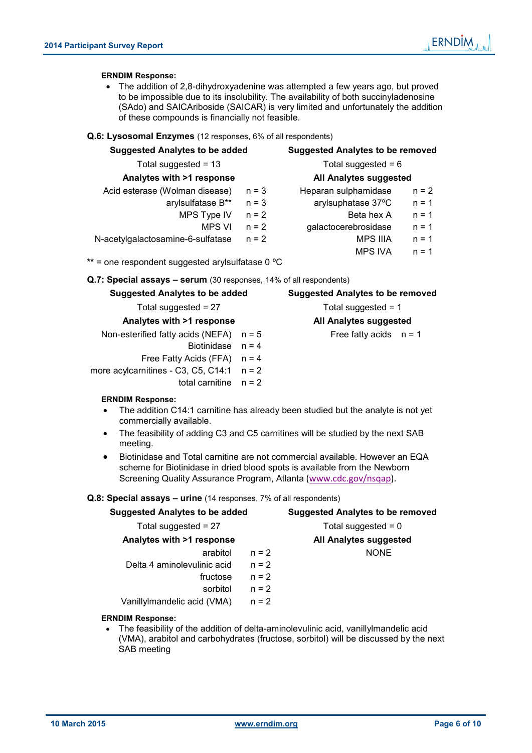# **ERNDIM Response:**

 The addition of 2,8-dihydroxyadenine was attempted a few years ago, but proved to be impossible due to its insolubility. The availability of both succinyladenosine (SAdo) and SAICAriboside (SAICAR) is very limited and unfortunately the addition of these compounds is financially not feasible.

#### **Q.6: Lysosomal Enzymes** (12 responses, 6% of all respondents)

| <b>Suggested Analytes to be added</b>            | <b>Suggested Analytes to be removed</b> |                      |         |  |  |
|--------------------------------------------------|-----------------------------------------|----------------------|---------|--|--|
| Total suggested = $13$                           | Total suggested = $6$                   |                      |         |  |  |
| Analytes with >1 response                        | All Analytes suggested                  |                      |         |  |  |
| Acid esterase (Wolman disease)                   | $n = 3$                                 | Heparan sulphamidase | $n = 2$ |  |  |
| arylsulfatase B**                                | $n = 3$                                 | arylsuphatase 37°C   | $n = 1$ |  |  |
| MPS Type IV                                      | $n = 2$                                 | Beta hex A           | $n = 1$ |  |  |
| <b>MPS VI</b>                                    | $n = 2$                                 | galactocerebrosidase | $n = 1$ |  |  |
| N-acetylgalactosamine-6-sulfatase                | $n = 2$                                 | <b>MPS IIIA</b>      | $n = 1$ |  |  |
|                                                  |                                         | <b>MPS IVA</b>       | $n = 1$ |  |  |
| ** = one respondent suggested arylsulfatase 0 °C |                                         |                      |         |  |  |

**Q.7: Special assays – serum** (30 responses, 14% of all respondents)

| <b>Suggested Analytes to be added</b>       | <b>Suggested Analytes to be removed</b> |                          |  |  |
|---------------------------------------------|-----------------------------------------|--------------------------|--|--|
| Total suggested = $27$                      | Total suggested = $1$                   |                          |  |  |
| Analytes with >1 response                   |                                         | All Analytes suggested   |  |  |
| Non-esterified fatty acids (NEFA) $n = 5$   |                                         | Free fatty acids $n = 1$ |  |  |
| Biotinidase $n = 4$                         |                                         |                          |  |  |
| Free Fatty Acids (FFA) $n = 4$              |                                         |                          |  |  |
| more acylcarnitines - C3, C5, C14:1 $n = 2$ |                                         |                          |  |  |
| total carnitine $n = 2$                     |                                         |                          |  |  |

#### **ERNDIM Response:**

- The addition C14:1 carnitine has already been studied but the analyte is not yet commercially available.
- The feasibility of adding C3 and C5 carnitines will be studied by the next SAB meeting.
- Biotinidase and Total carnitine are not commercial available. However an EQA scheme for Biotinidase in dried blood spots is available from the Newborn Screening Quality Assurance Program, Atlanta [\(www.cdc.gov/nsqap\)](http://www.cdc.gov/nsqap).

# **Q.8: Special assays – urine** (14 responses, 7% of all respondents)

| <b>Suggested Analytes to be added</b> |         | <b>Suggested Analytes to be removed</b> |  |  |
|---------------------------------------|---------|-----------------------------------------|--|--|
| Total suggested = $27$                |         | Total suggested = $0$                   |  |  |
| Analytes with >1 response             |         | <b>All Analytes suggested</b>           |  |  |
| arabitol                              | $n = 2$ | <b>NONE</b>                             |  |  |
| Delta 4 aminolevulinic acid           | $n = 2$ |                                         |  |  |
| fructose                              | $n = 2$ |                                         |  |  |
| sorbitol                              | $n = 2$ |                                         |  |  |
| Vanillylmandelic acid (VMA)           | $n = 2$ |                                         |  |  |

# **ERNDIM Response:**

 The feasibility of the addition of delta-aminolevulinic acid, vanillylmandelic acid (VMA), arabitol and carbohydrates (fructose, sorbitol) will be discussed by the next SAB meeting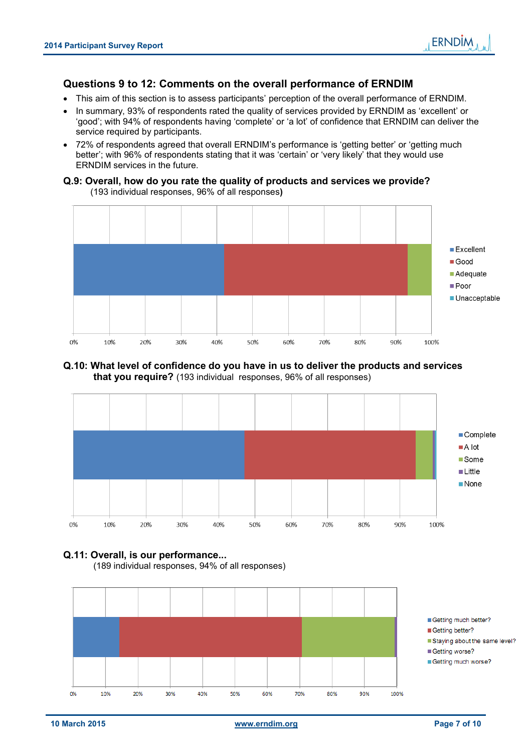# **Questions 9 to 12: Comments on the overall performance of ERNDIM**

- This aim of this section is to assess participants' perception of the overall performance of ERNDIM.
- In summary, 93% of respondents rated the quality of services provided by ERNDIM as 'excellent' or 'good'; with 94% of respondents having 'complete' or 'a lot' of confidence that ERNDIM can deliver the service required by participants.
- 72% of respondents agreed that overall ERNDIM's performance is 'getting better' or 'getting much better'; with 96% of respondents stating that it was 'certain' or 'very likely' that they would use ERNDIM services in the future.

# **Q.9: Overall, how do you rate the quality of products and services we provide?** (193 individual responses, 96% of all responses**)**



# **Q.10: What level of confidence do you have in us to deliver the products and services that you require?** (193 individual responses, 96% of all responses)



# **Q.11: Overall, is our performance...**

(189 individual responses, 94% of all responses)

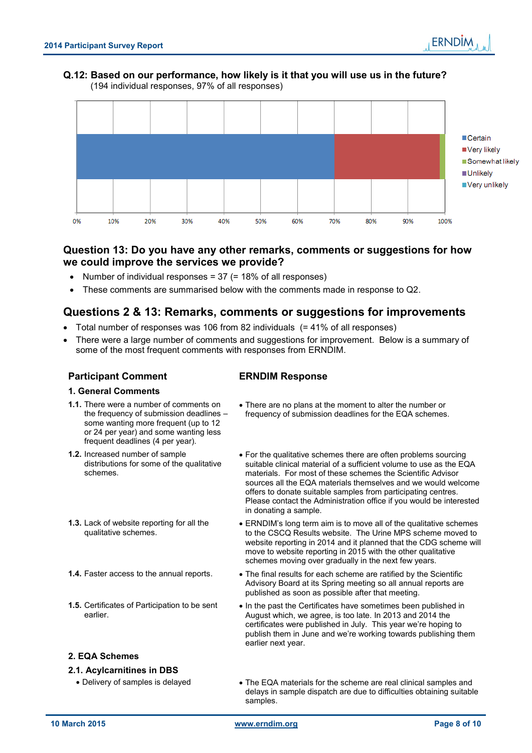

# **Q.12: Based on our performance, how likely is it that you will use us in the future?** (194 individual responses, 97% of all responses)



# **Question 13: Do you have any other remarks, comments or suggestions for how we could improve the services we provide?**

- Number of individual responses = 37 (= 18% of all responses)
- These comments are summarised below with the comments made in response to Q2.

# **Questions 2 & 13: Remarks, comments or suggestions for improvements**

- Total number of responses was 106 from 82 individuals (= 41% of all responses)
- There were a large number of comments and suggestions for improvement. Below is a summary of some of the most frequent comments with responses from ERNDIM.

# **Participant Comment ERNDIM Response**

# **1. General Comments**

- **1.1.** There were a number of comments on the frequency of submission deadlines – some wanting more frequent (up to 12 or 24 per year) and some wanting less frequent deadlines (4 per year).
- **1.2.** Increased number of sample distributions for some of the qualitative schemes.
- **1.3.** Lack of website reporting for all the qualitative schemes.
- 
- **1.5.** Certificates of Participation to be sent earlier.

# **2. EQA Schemes**

# **2.1. Acylcarnitines in DBS**

- There are no plans at the moment to alter the number or frequency of submission deadlines for the EQA schemes.
- For the qualitative schemes there are often problems sourcing suitable clinical material of a sufficient volume to use as the EQA materials. For most of these schemes the Scientific Advisor sources all the EQA materials themselves and we would welcome offers to donate suitable samples from participating centres. Please contact the Administration office if you would be interested in donating a sample.
- ERNDIM's long term aim is to move all of the qualitative schemes to the CSCQ Results website. The Urine MPS scheme moved to website reporting in 2014 and it planned that the CDG scheme will move to website reporting in 2015 with the other qualitative schemes moving over gradually in the next few years.
- **1.4.** Faster access to the annual reports.  $\bullet$  The final results for each scheme are ratified by the Scientific Advisory Board at its Spring meeting so all annual reports are published as soon as possible after that meeting.
	- In the past the Certificates have sometimes been published in August which, we agree, is too late. In 2013 and 2014 the certificates were published in July. This year we're hoping to publish them in June and we're working towards publishing them earlier next year.
	- Delivery of samples is delayed The EQA materials for the scheme are real clinical samples and delays in sample dispatch are due to difficulties obtaining suitable samples.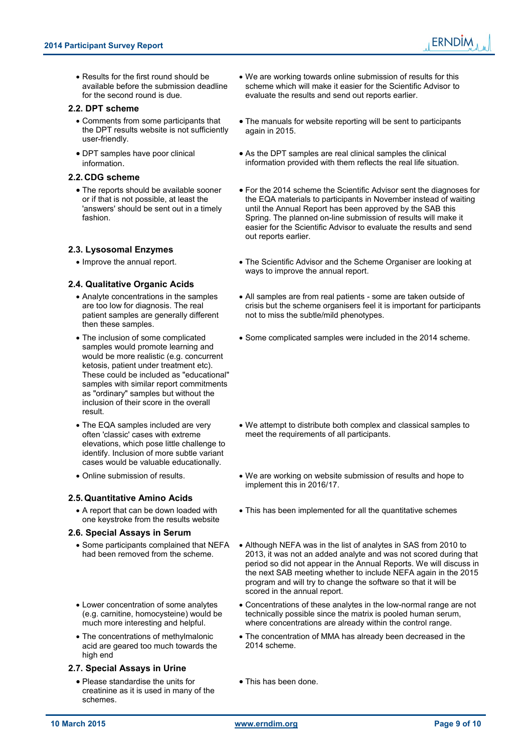Results for the first round should be available before the submission deadline for the second round is due.

#### **2.2. DPT scheme**

- Comments from some participants that the DPT results website is not sufficiently user-friendly.
- DPT samples have poor clinical information.

# **2.2. CDG scheme**

 The reports should be available sooner or if that is not possible, at least the 'answers' should be sent out in a timely fashion.

# **2.3. Lysosomal Enzymes**

# **2.4. Qualitative Organic Acids**

- Analyte concentrations in the samples are too low for diagnosis. The real patient samples are generally different then these samples.
- The inclusion of some complicated samples would promote learning and would be more realistic (e.g. concurrent ketosis, patient under treatment etc). These could be included as "educational" samples with similar report commitments as "ordinary" samples but without the inclusion of their score in the overall result.
- The EQA samples included are very often 'classic' cases with extreme elevations, which pose little challenge to identify. Inclusion of more subtle variant cases would be valuable educationally.
- 

# **2.5.Quantitative Amino Acids**

 A report that can be down loaded with one keystroke from the results website

# **2.6. Special Assays in Serum**

- Some participants complained that NEFA had been removed from the scheme.
- Lower concentration of some analytes (e.g. carnitine, homocysteine) would be much more interesting and helpful.
- The concentrations of methylmalonic acid are geared too much towards the high end

# **2.7. Special Assays in Urine**

 Please standardise the units for creatinine as it is used in many of the schemes.

 We are working towards online submission of results for this scheme which will make it easier for the Scientific Advisor to evaluate the results and send out reports earlier.

ERNDIM

- The manuals for website reporting will be sent to participants again in 2015.
- As the DPT samples are real clinical samples the clinical information provided with them reflects the real life situation.
- For the 2014 scheme the Scientific Advisor sent the diagnoses for the EQA materials to participants in November instead of waiting until the Annual Report has been approved by the SAB this Spring. The planned on-line submission of results will make it easier for the Scientific Advisor to evaluate the results and send out reports earlier.
- Improve the annual report. The Scientific Advisor and the Scheme Organiser are looking at ways to improve the annual report.
	- All samples are from real patients some are taken outside of crisis but the scheme organisers feel it is important for participants not to miss the subtle/mild phenotypes.
	- Some complicated samples were included in the 2014 scheme.

- We attempt to distribute both complex and classical samples to meet the requirements of all participants.
- Online submission of results. We are working on website submission of results and hope to implement this in 2016/17.
	- This has been implemented for all the quantitative schemes
	- Although NEFA was in the list of analytes in SAS from 2010 to 2013, it was not an added analyte and was not scored during that period so did not appear in the Annual Reports. We will discuss in the next SAB meeting whether to include NEFA again in the 2015 program and will try to change the software so that it will be scored in the annual report.
	- Concentrations of these analytes in the low-normal range are not technically possible since the matrix is pooled human serum, where concentrations are already within the control range.
	- The concentration of MMA has already been decreased in the 2014 scheme.
	- This has been done.